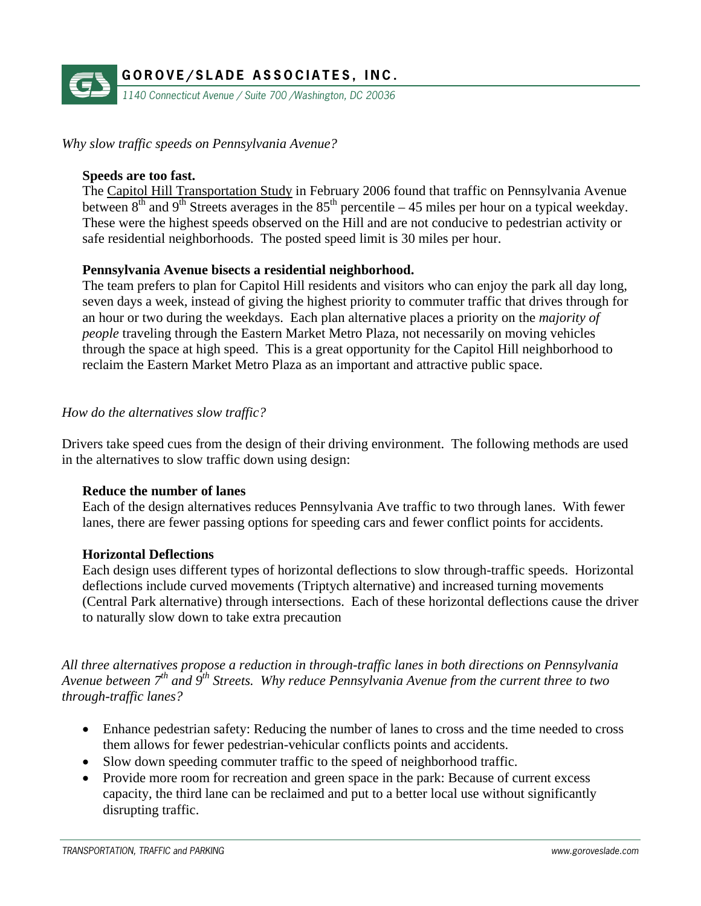

*Why slow traffic speeds on Pennsylvania Avenue?* 

### **Speeds are too fast.**

The Capitol Hill Transportation Study in February 2006 found that traffic on Pennsylvania Avenue between  $8<sup>th</sup>$  and  $9<sup>th</sup>$  Streets averages in the 85<sup>th</sup> percentile – 45 miles per hour on a typical weekday. These were the highest speeds observed on the Hill and are not conducive to pedestrian activity or safe residential neighborhoods. The posted speed limit is 30 miles per hour.

### **Pennsylvania Avenue bisects a residential neighborhood.**

The team prefers to plan for Capitol Hill residents and visitors who can enjoy the park all day long, seven days a week, instead of giving the highest priority to commuter traffic that drives through for an hour or two during the weekdays. Each plan alternative places a priority on the *majority of people* traveling through the Eastern Market Metro Plaza, not necessarily on moving vehicles through the space at high speed. This is a great opportunity for the Capitol Hill neighborhood to reclaim the Eastern Market Metro Plaza as an important and attractive public space.

### *How do the alternatives slow traffic?*

Drivers take speed cues from the design of their driving environment. The following methods are used in the alternatives to slow traffic down using design:

### **Reduce the number of lanes**

Each of the design alternatives reduces Pennsylvania Ave traffic to two through lanes. With fewer lanes, there are fewer passing options for speeding cars and fewer conflict points for accidents.

#### **Horizontal Deflections**

Each design uses different types of horizontal deflections to slow through-traffic speeds. Horizontal deflections include curved movements (Triptych alternative) and increased turning movements (Central Park alternative) through intersections. Each of these horizontal deflections cause the driver to naturally slow down to take extra precaution

*All three alternatives propose a reduction in through-traffic lanes in both directions on Pennsylvania Avenue between 7th and 9th Streets. Why reduce Pennsylvania Avenue from the current three to two through-traffic lanes?* 

- Enhance pedestrian safety: Reducing the number of lanes to cross and the time needed to cross them allows for fewer pedestrian-vehicular conflicts points and accidents.
- Slow down speeding commuter traffic to the speed of neighborhood traffic.
- Provide more room for recreation and green space in the park: Because of current excess capacity, the third lane can be reclaimed and put to a better local use without significantly disrupting traffic.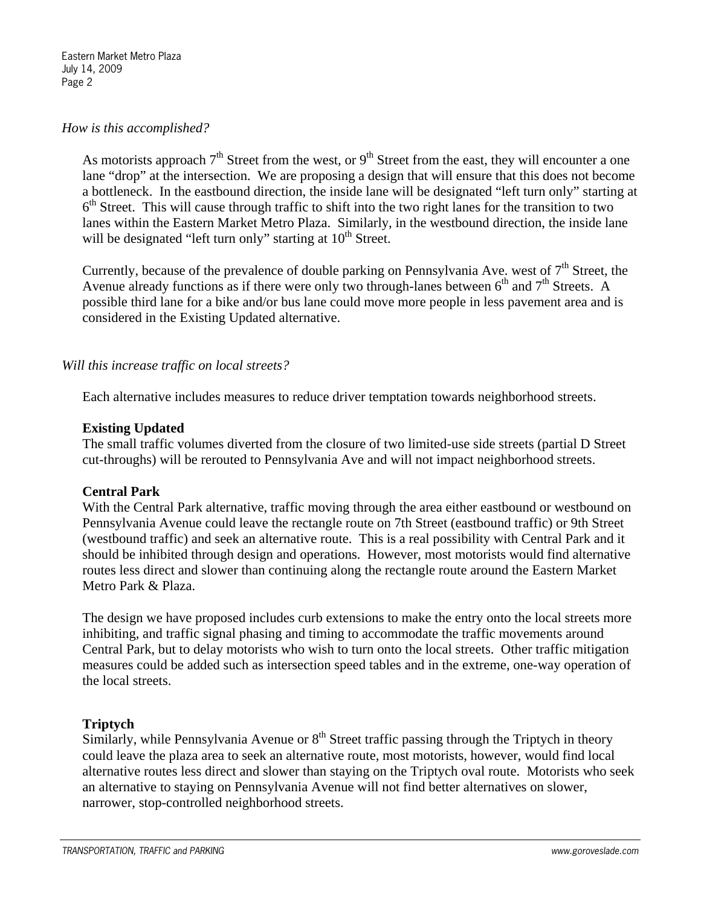### *How is this accomplished?*

As motorists approach  $7<sup>th</sup>$  Street from the west, or  $9<sup>th</sup>$  Street from the east, they will encounter a one lane "drop" at the intersection. We are proposing a design that will ensure that this does not become a bottleneck. In the eastbound direction, the inside lane will be designated "left turn only" starting at  $6<sup>th</sup>$  Street. This will cause through traffic to shift into the two right lanes for the transition to two lanes within the Eastern Market Metro Plaza. Similarly, in the westbound direction, the inside lane will be designated "left turn only" starting at 10<sup>th</sup> Street.

Currently, because of the prevalence of double parking on Pennsylvania Ave. west of  $7<sup>th</sup>$  Street, the Avenue already functions as if there were only two through-lanes between  $6<sup>th</sup>$  and  $7<sup>th</sup>$  Streets. A possible third lane for a bike and/or bus lane could move more people in less pavement area and is considered in the Existing Updated alternative.

# *Will this increase traffic on local streets?*

Each alternative includes measures to reduce driver temptation towards neighborhood streets.

### **Existing Updated**

The small traffic volumes diverted from the closure of two limited-use side streets (partial D Street cut-throughs) will be rerouted to Pennsylvania Ave and will not impact neighborhood streets.

#### **Central Park**

With the Central Park alternative, traffic moving through the area either eastbound or westbound on Pennsylvania Avenue could leave the rectangle route on 7th Street (eastbound traffic) or 9th Street (westbound traffic) and seek an alternative route. This is a real possibility with Central Park and it should be inhibited through design and operations. However, most motorists would find alternative routes less direct and slower than continuing along the rectangle route around the Eastern Market Metro Park & Plaza.

The design we have proposed includes curb extensions to make the entry onto the local streets more inhibiting, and traffic signal phasing and timing to accommodate the traffic movements around Central Park, but to delay motorists who wish to turn onto the local streets. Other traffic mitigation measures could be added such as intersection speed tables and in the extreme, one-way operation of the local streets.

# **Triptych**

Similarly, while Pennsylvania Avenue or  $8<sup>th</sup>$  Street traffic passing through the Triptych in theory could leave the plaza area to seek an alternative route, most motorists, however, would find local alternative routes less direct and slower than staying on the Triptych oval route. Motorists who seek an alternative to staying on Pennsylvania Avenue will not find better alternatives on slower, narrower, stop-controlled neighborhood streets.